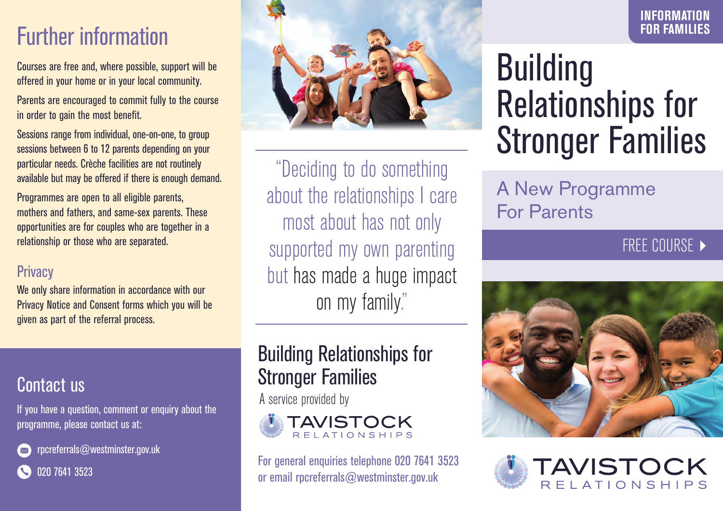# Further information

Courses are free and, where possible, support will be offered in your home or in your local community.

Parents are encouraged to commit fully to the course in order to gain the most benefit.

Sessions range from individual, one-on-one, to group sessions between 6 to 12 parents depending on your particular needs. Crèche facilities are not routinely available but may be offered if there is enough demand.

Programmes are open to all eligible parents, mothers and fathers, and same-sex parents. These opportunities are for couples who are together in a relationship or those who are separated.

#### **Privacy**

We only share information in accordance with our Privacy Notice and Consent forms which you will be given as part of the referral process.

#### Contact us

If you have a question, comment or enquiry about the programme, please contact us at:



rpcreferrals@westminster.gov.uk



020 7641 3523



"Deciding to do something about the relationships I care most about has not only supported my own parenting but has made a huge impact on my family."

## Building Relationships for Stronger Families

A service provided by



For general enquiries telephone 020 7641 3523 or email rpcreferrals@westminster.gov.uk

# **Building** Relationships for Stronger Families

## A New Programme For Parents

#### FREE COURSE